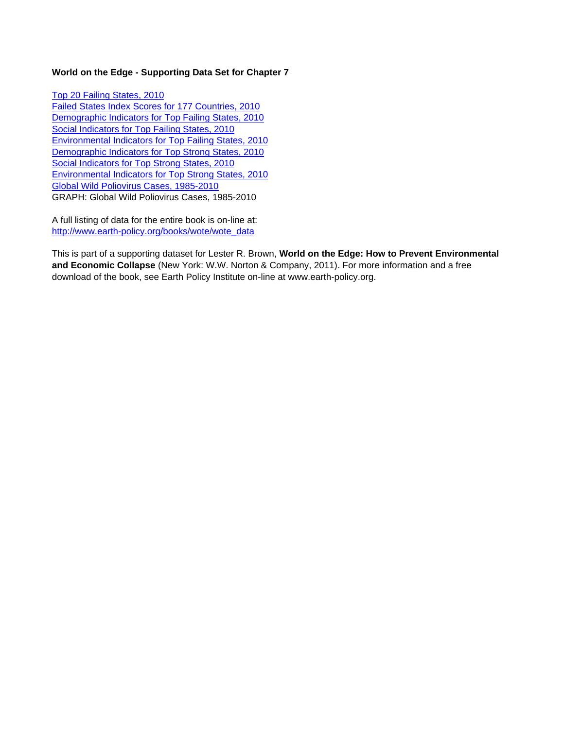# **World on the Edge - Supporting Data Set for Chapter 7**

Top 20 Failing States, 2010 Failed States Index Scores for 177 Countries, 2010 Demographic Indicators for Top Failing States, 2010 Social Indicators for Top Failing States, 2010 Environmental Indicators for Top Failing States, 2010 Demographic Indicators for Top Strong States, 2010 Social Indicators for Top Strong States, 2010 Environmental Indicators for Top Strong States, 2010 Global Wild Poliovirus Cases, 1985-2010 GRAPH: Global Wild Poliovirus Cases, 1985-2010

A full listing of data for the entire book is on-line at: http://www.earth-policy.org/books/wote/wote\_data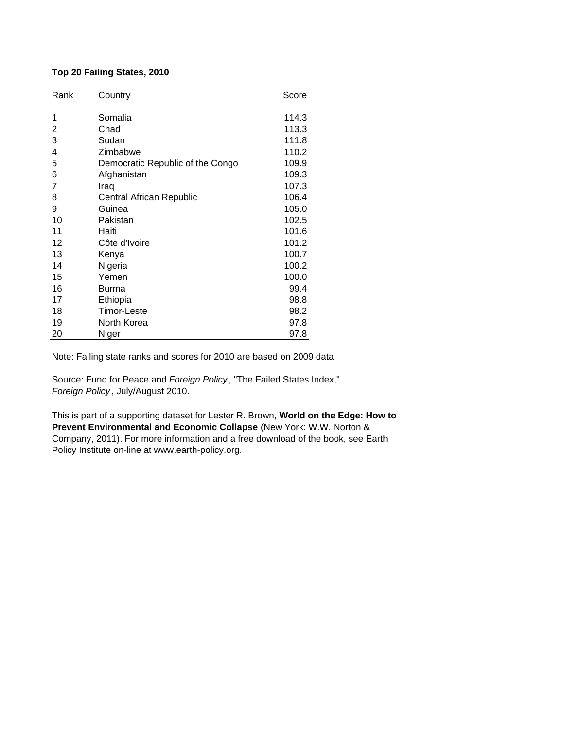# **Top 20 Failing States, 2010**

| Rank | Country                          | Score |
|------|----------------------------------|-------|
|      |                                  |       |
| 1    | Somalia                          | 114.3 |
| 2    | Chad                             | 113.3 |
| 3    | Sudan                            | 111.8 |
| 4    | Zimbabwe                         | 110.2 |
| 5    | Democratic Republic of the Congo | 109.9 |
| 6    | Afghanistan                      | 109.3 |
| 7    | Iraq                             | 107.3 |
| 8    | Central African Republic         | 106.4 |
| 9    | Guinea                           | 105.0 |
| 10   | Pakistan                         | 102.5 |
| 11   | Haiti                            | 101.6 |
| 12   | Côte d'Ivoire                    | 101.2 |
| 13   | Kenya                            | 100.7 |
| 14   | Nigeria                          | 100.2 |
| 15   | Yemen                            | 100.0 |
| 16   | Burma                            | 99.4  |
| 17   | Ethiopia                         | 98.8  |
| 18   | <b>Timor-Leste</b>               | 98.2  |
| 19   | North Korea                      | 97.8  |
| 20   | Niger                            | 97.8  |

Note: Failing state ranks and scores for 2010 are based on 2009 data.

Source: Fund for Peace and *Foreign Policy* , "The Failed States Index," *Foreign Policy* , July/August 2010.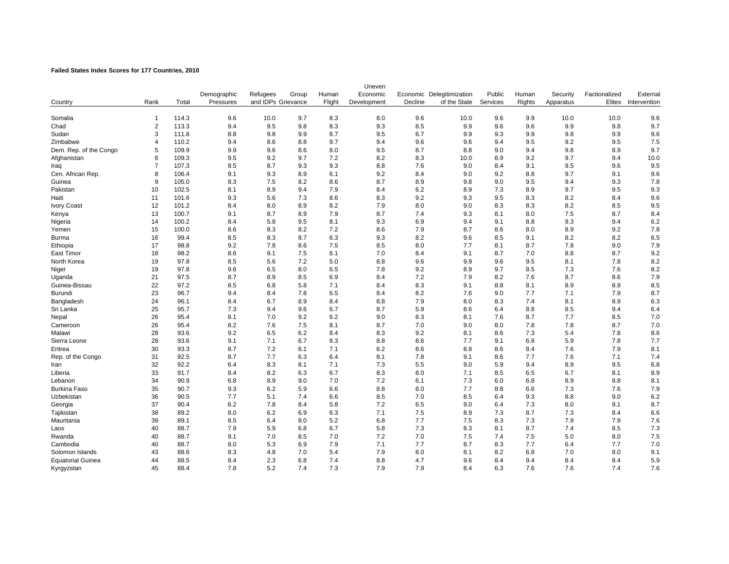### **Failed States Index Scores for 177 Countries, 2010**

|                          |                |       |             |                    |       |        | Uneven      |         |                           |          |               |           |               |              |
|--------------------------|----------------|-------|-------------|--------------------|-------|--------|-------------|---------|---------------------------|----------|---------------|-----------|---------------|--------------|
|                          |                |       | Demographic | Refugees           | Group | Human  | Economic    |         | Economic Delegitimization | Public   | Human         | Security  | Factionalized | External     |
| Country                  | Rank           | Total | Pressures   | and IDPs Grievance |       | Flight | Development | Decline | of the State              | Services | <b>Rights</b> | Apparatus | Elites        | Intervention |
|                          |                |       |             |                    |       |        |             |         |                           |          |               |           |               |              |
| Somalia                  | $\mathbf{1}$   | 114.3 | 9.6         | 10.0               | 9.7   | 8.3    | 8.0         | 9.6     | 10.0                      | 9.6      | 9.9           | 10.0      | 10.0          | 9.6          |
| Chad                     | $\overline{2}$ | 113.3 | 9.4         | 9.5                | 9.8   | 8.3    | 9.3         | 8.5     | 9.9                       | 9.6      | 9.6           | 9.9       | 9.8           | 9.7          |
| Sudan                    | 3              | 111.8 | 8.8         | 9.8                | 9.9   | 8.7    | 9.5         | 6.7     | 9.9                       | 9.3      | 9.9           | 9.8       | 9.9           | 9.6          |
| Zimbabwe                 | $\overline{4}$ | 110.2 | 9.4         | 8.6                | 8.8   | 9.7    | 9.4         | 9.6     | 9.6                       | 9.4      | 9.5           | 9.2       | 9.5           | 7.5          |
| Dem. Rep. of the Congo   | 5              | 109.9 | 9.9         | 9.6                | 8.6   | 8.0    | 9.5         | 8.7     | 8.8                       | 9.0      | 9.4           | 9.8       | 8.9           | 9.7          |
| Afghanistan              | 6              | 109.3 | 9.5         | 9.2                | 9.7   | 7.2    | 8.2         | 8.3     | 10.0                      | 8.9      | 9.2           | 9.7       | 9.4           | 10.0         |
| Iraq                     | $\overline{7}$ | 107.3 | 8.5         | 8.7                | 9.3   | 9.3    | 8.8         | 7.6     | 9.0                       | 8.4      | 9.1           | 9.5       | 9.6           | 9.5          |
| Cen. African Rep.        | 8              | 106.4 | 9.1         | 9.3                | 8.9   | 6.1    | 9.2         | 8.4     | 9.0                       | 9.2      | 8.8           | 9.7       | 9.1           | 9.6          |
| Guinea                   | 9              | 105.0 | 8.3         | 7.5                | 8.2   | 8.6    | 8.7         | 8.9     | 9.8                       | 9.0      | 9.5           | 9.4       | 9.3           | 7.8          |
| Pakistan                 | 10             | 102.5 | 8.1         | 8.9                | 9.4   | 7.9    | 8.4         | 6.2     | 8.9                       | 7.3      | 8.9           | 9.7       | 9.5           | 9.3          |
| Haiti                    | 11             | 101.6 | 9.3         | 5.6                | 7.3   | 8.6    | 8.3         | 9.2     | 9.3                       | 9.5      | 8.3           | 8.2       | 8.4           | 9.6          |
| <b>Ivory Coast</b>       | 12             | 101.2 | 8.4         | 8.0                | 8.9   | 8.2    | 7.9         | 8.0     | 9.0                       | 8.3      | 8.3           | 8.2       | 8.5           | 9.5          |
| Kenya                    | 13             | 100.7 | 9.1         | 8.7                | 8.9   | 7.9    | 8.7         | 7.4     | 9.3                       | 8.1      | 8.0           | 7.5       | 8.7           | 8.4          |
| Nigeria                  | 14             | 100.2 | 8.4         | 5.8                | 9.5   | 8.1    | 9.3         | 6.9     | 9.4                       | 9.1      | 8.8           | 9.3       | 9.4           | 6.2          |
| Yemen                    | 15             | 100.0 | 8.6         | 8.3                | 8.2   | 7.2    | 8.6         | 7.9     | 8.7                       | 8.6      | 8.0           | 8.9       | 9.2           | 7.8          |
| Burma                    | 16             | 99.4  | 8.5         | 8.3                | 8.7   | 6.3    | 9.3         | 8.2     | 9.6                       | 8.5      | 9.1           | 8.2       | 8.2           | 6.5          |
| Ethiopia                 | 17             | 98.8  | 9.2         | 7.8                | 8.6   | 7.5    | 8.5         | 8.0     | 7.7                       | 8.1      | 8.7           | 7.8       | 9.0           | 7.9          |
| East Timor               | 18             | 98.2  | 8.6         | 9.1                | 7.5   | 6.1    | 7.0         | 8.4     | 9.1                       | 8.7      | 7.0           | 8.8       | 8.7           | 9.2          |
| North Korea              | 19             | 97.8  | 8.5         | 5.6                | 7.2   | 5.0    | 8.8         | 9.6     | 9.9                       | 9.6      | 9.5           | 8.1       | 7.8           | 8.2          |
| Niger                    | 19             | 97.8  | 9.6         | 6.5                | 8.0   | 6.5    | 7.8         | 9.2     | 8.9                       | 9.7      | 8.5           | 7.3       | 7.6           | 8.2          |
| Uganda                   | 21             | 97.5  | 8.7         | 8.9                | 8.5   | 6.9    | 8.4         | 7.2     | 7.9                       | 8.2      | 7.6           | 8.7       | 8.6           | 7.9          |
| Guinea-Bissau            | 22             | 97.2  | 8.5         | 6.8                | 5.8   | 7.1    | 8.4         | 8.3     | 9.1                       | 8.8      | 8.1           | 8.9       | 8.9           | 8.5          |
| Burundi                  | 23             | 96.7  | 9.4         | 8.4                | 7.8   | 6.5    | 8.4         | 8.2     | 7.6                       | 9.0      | 7.7           | 7.1       | 7.9           | 8.7          |
| Bangladesh               | 24             | 96.1  | 8.4         | 6.7                | 8.9   | 8.4    | 8.8         | 7.9     | 8.0                       | 8.3      | 7.4           | 8.1       | 8.9           | 6.3          |
| Sri Lanka                | 25             | 95.7  | 7.3         | 9.4                | 9.6   | 6.7    | 8.7         | 5.9     | 8.6                       | 6.4      | 8.8           | 8.5       | 9.4           | 6.4          |
| Nepal                    | 26             | 95.4  | 8.1         | 7.0                | 9.2   | 6.2    | 9.0         | 8.3     | 8.1                       | 7.6      | 8.7           | 7.7       | 8.5           | $7.0$        |
| Cameroon                 | 26             | 95.4  | 8.2         | 7.6                | 7.5   | 8.1    | 8.7         | 7.0     | 9.0                       | 8.0      | 7.8           | 7.8       | 8.7           | 7.0          |
| Malawi                   | 28             | 93.6  | 9.2         | 6.5                | 6.2   | 8.4    | 8.3         | 9.2     | 8.1                       | 8.6      | 7.3           | 5.4       | 7.8           | 8.6          |
| Sierra Leone             | 28             | 93.6  | 9.1         | 7.1                | 6.7   | 8.3    | 8.8         | 8.6     | 7.7                       | 9.1      | 6.8           | 5.9       | 7.8           | 7.7          |
| Eritrea                  | 30             | 93.3  | 8.7         | 7.2                | 6.1   | 7.1    | 6.2         | 8.6     | 8.8                       | 8.6      | 8.4           | 7.6       | 7.9           | 8.1          |
| Rep. of the Congo        | 31             | 92.5  | 8.7         | 7.7                | 6.3   | 6.4    | 8.1         | 7.8     | 9.1                       | 8.6      | 7.7           | 7.6       | 7.1           | 7.4          |
| Iran                     | 32             | 92.2  | 6.4         | 8.3                | 8.1   | 7.1    | 7.3         | 5.5     | 9.0                       | 5.9      | 9.4           | 8.9       | 9.5           | 6.8          |
| Liberia                  | 33             | 91.7  | 8.4         | 8.2                | 6.3   | 6.7    | 8.3         | 8.0     | 7.1                       | 8.5      | 6.5           | 6.7       | 8.1           | 8.9          |
| Lebanon                  | 34             | 90.9  | 6.8         | 8.9                | 9.0   | 7.0    | 7.2         | 6.1     | 7.3                       | 6.0      | 6.8           | 8.9       | 8.8           | 8.1          |
| Burkina Faso             | 35             | 90.7  | 9.3         | 6.2                | 5.9   | 6.6    | 8.8         | 8.0     | 7.7                       | 8.8      | 6.6           | 7.3       | 7.6           | 7.9          |
| Uzbekistan               | 36             | 90.5  | 7.7         | 5.1                | 7.4   | 6.6    | 8.5         | 7.0     | 8.5                       | 6.4      | 9.3           | 8.8       | 9.0           | 6.2          |
| Georgia                  | 37             | 90.4  | 6.2         | 7.8                | 8.4   | 5.8    | 7.2         | 6.5     | 9.0                       | 6.4      | 7.3           | 8.0       | 9.1           | 8.7          |
| Tajikistan               | 38             | 89.2  | 8.0         | 6.2                | 6.9   | 6.3    | 7.1         | 7.5     | 8.9                       | 7.3      | 8.7           | 7.3       | 8.4           | 6.6          |
| Mauritania               | 39             | 89.1  | 8.5         | 6.4                | 8.0   | 5.2    | 6.8         | 7.7     | 7.5                       | 8.3      | 7.3           | 7.9       | 7.9           | 7.6          |
| Laos                     | 40             | 88.7  | 7.9         | 5.9                | 6.8   | 6.7    | 5.8         | 7.3     | 8.3                       | 8.1      | 8.7           | 7.4       | 8.5           | 7.3          |
| Rwanda                   | 40             | 88.7  | 9.1         | 7.0                | 8.5   | 7.0    | 7.2         | 7.0     | 7.5                       | 7.4      | 7.5           | 5.0       | 8.0           | 7.5          |
| Cambodia                 | 40             | 88.7  | 8.0         | 5.3                | 6.9   | 7.9    | 7.1         | 7.7     | 8.7                       | 8.3      | 7.7           | 6.4       | 7.7           | $7.0$        |
| Solomon Islands          | 43             | 88.6  | 8.3         | 4.8                | 7.0   | 5.4    | 7.9         | 8.0     | 8.1                       | 8.2      | 6.8           | 7.0       | 8.0           | 9.1          |
|                          | 44             | 88.5  | 8.4         | 2.3                | 6.8   | 7.4    | 8.8         | 4.7     | 9.6                       | 8.4      | 9.4           | 8.4       | 8.4           | 5.9          |
| <b>Equatorial Guinea</b> | 45             |       |             | 5.2                | 7.4   |        |             |         |                           |          |               |           |               |              |
| Kyrgyzstan               |                | 88.4  | 7.8         |                    |       | 7.3    | 7.9         | 7.9     | 8.4                       | 6.3      | 7.6           | 7.6       | 7.4           | 7.6          |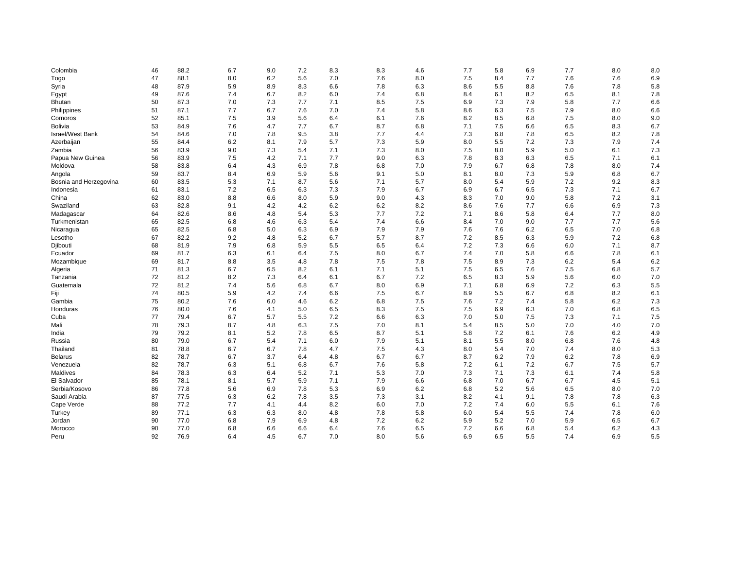| Colombia                | 46 | 88.2 | 6.7 | 9.0 | 7.2 | 8.3 | 8.3 | 4.6 | 7.7 | 5.8 | 6.9 | 7.7 | 8.0 | 8.0 |
|-------------------------|----|------|-----|-----|-----|-----|-----|-----|-----|-----|-----|-----|-----|-----|
| Togo                    | 47 | 88.1 | 8.0 | 6.2 | 5.6 | 7.0 | 7.6 | 8.0 | 7.5 | 8.4 | 7.7 | 7.6 | 7.6 | 6.9 |
| Syria                   | 48 | 87.9 | 5.9 | 8.9 | 8.3 | 6.6 | 7.8 | 6.3 | 8.6 | 5.5 | 8.8 | 7.6 | 7.8 | 5.8 |
| Egypt                   | 49 | 87.6 | 7.4 | 6.7 | 8.2 | 6.0 | 7.4 | 6.8 | 8.4 | 6.1 | 8.2 | 6.5 | 8.1 | 7.8 |
| <b>Bhutan</b>           | 50 | 87.3 | 7.0 | 7.3 | 7.7 | 7.1 | 8.5 | 7.5 | 6.9 | 7.3 | 7.9 | 5.8 | 7.7 | 6.6 |
| Philippines             | 51 | 87.1 | 7.7 | 6.7 | 7.6 | 7.0 | 7.4 | 5.8 | 8.6 | 6.3 | 7.5 | 7.9 | 8.0 | 6.6 |
| Comoros                 | 52 | 85.1 | 7.5 | 3.9 | 5.6 | 6.4 | 6.1 | 7.6 | 8.2 | 8.5 | 6.8 | 7.5 | 8.0 | 9.0 |
| Bolivia                 | 53 | 84.9 | 7.6 | 4.7 | 7.7 | 6.7 | 8.7 | 6.8 | 7.1 | 7.5 | 6.6 | 6.5 | 8.3 | 6.7 |
| <b>Israel/West Bank</b> | 54 | 84.6 | 7.0 | 7.8 | 9.5 | 3.8 | 7.7 | 4.4 | 7.3 | 6.8 | 7.8 | 6.5 | 8.2 | 7.8 |
| Azerbaijan              | 55 | 84.4 | 6.2 | 8.1 | 7.9 | 5.7 | 7.3 | 5.9 | 8.0 | 5.5 | 7.2 | 7.3 | 7.9 | 7.4 |
| Zambia                  | 56 | 83.9 | 9.0 | 7.3 | 5.4 | 7.1 | 7.3 | 8.0 | 7.5 | 8.0 | 5.9 | 5.0 | 6.1 | 7.3 |
| Papua New Guinea        | 56 | 83.9 | 7.5 | 4.2 | 7.1 | 7.7 | 9.0 | 6.3 | 7.8 | 8.3 | 6.3 | 6.5 | 7.1 | 6.1 |
| Moldova                 | 58 | 83.8 | 6.4 | 4.3 | 6.9 | 7.8 | 6.8 | 7.0 | 7.9 | 6.7 | 6.8 | 7.8 | 8.0 | 7.4 |
| Angola                  | 59 | 83.7 | 8.4 | 6.9 | 5.9 | 5.6 | 9.1 | 5.0 | 8.1 | 8.0 | 7.3 | 5.9 | 6.8 | 6.7 |
| Bosnia and Herzegovina  | 60 | 83.5 | 5.3 | 7.1 | 8.7 | 5.6 | 7.1 | 5.7 | 8.0 | 5.4 | 5.9 | 7.2 | 9.2 | 8.3 |
| Indonesia               | 61 | 83.1 | 7.2 | 6.5 | 6.3 | 7.3 | 7.9 | 6.7 | 6.9 | 6.7 | 6.5 | 7.3 | 7.1 | 6.7 |
| China                   | 62 | 83.0 | 8.8 | 6.6 | 8.0 | 5.9 | 9.0 | 4.3 | 8.3 | 7.0 | 9.0 | 5.8 | 7.2 | 3.1 |
| Swaziland               | 63 | 82.8 | 9.1 | 4.2 | 4.2 | 6.2 | 6.2 | 8.2 | 8.6 | 7.6 | 7.7 | 6.6 | 6.9 | 7.3 |
| Madagascar              | 64 | 82.6 | 8.6 | 4.8 | 5.4 | 5.3 | 7.7 | 7.2 | 7.1 | 8.6 | 5.8 | 6.4 | 7.7 | 8.0 |
| Turkmenistan            | 65 | 82.5 | 6.8 | 4.6 | 6.3 | 5.4 | 7.4 | 6.6 | 8.4 | 7.0 | 9.0 | 7.7 | 7.7 | 5.6 |
| Nicaragua               | 65 | 82.5 | 6.8 | 5.0 | 6.3 | 6.9 | 7.9 | 7.9 | 7.6 | 7.6 | 6.2 | 6.5 | 7.0 | 6.8 |
| Lesotho                 | 67 | 82.2 | 9.2 | 4.8 | 5.2 | 6.7 | 5.7 | 8.7 | 7.2 | 8.5 | 6.3 | 5.9 | 7.2 | 6.8 |
| Djibouti                | 68 | 81.9 | 7.9 | 6.8 | 5.9 | 5.5 | 6.5 | 6.4 | 7.2 | 7.3 | 6.6 | 6.0 | 7.1 | 8.7 |
| Ecuador                 | 69 | 81.7 | 6.3 | 6.1 | 6.4 | 7.5 | 8.0 | 6.7 | 7.4 | 7.0 | 5.8 | 6.6 | 7.8 | 6.1 |
| Mozambique              | 69 | 81.7 | 8.8 | 3.5 | 4.8 | 7.8 | 7.5 | 7.8 | 7.5 | 8.9 | 7.3 | 6.2 | 5.4 | 6.2 |
| Algeria                 | 71 | 81.3 | 6.7 | 6.5 | 8.2 | 6.1 | 7.1 | 5.1 | 7.5 | 6.5 | 7.6 | 7.5 | 6.8 | 5.7 |
| Tanzania                | 72 | 81.2 | 8.2 | 7.3 | 6.4 | 6.1 | 6.7 | 7.2 | 6.5 | 8.3 | 5.9 | 5.6 | 6.0 | 7.0 |
| Guatemala               | 72 | 81.2 | 7.4 | 5.6 | 6.8 | 6.7 | 8.0 | 6.9 | 7.1 | 6.8 | 6.9 | 7.2 | 6.3 | 5.5 |
| Fiji                    | 74 | 80.5 | 5.9 | 4.2 | 7.4 | 6.6 | 7.5 | 6.7 | 8.9 | 5.5 | 6.7 | 6.8 | 8.2 | 6.1 |
| Gambia                  | 75 | 80.2 | 7.6 | 6.0 | 4.6 | 6.2 | 6.8 | 7.5 | 7.6 | 7.2 | 7.4 | 5.8 | 6.2 | 7.3 |
| Honduras                | 76 | 80.0 | 7.6 | 4.1 | 5.0 | 6.5 | 8.3 | 7.5 | 7.5 | 6.9 | 6.3 | 7.0 | 6.8 | 6.5 |
| Cuba                    | 77 | 79.4 | 6.7 | 5.7 | 5.5 | 7.2 | 6.6 | 6.3 | 7.0 | 5.0 | 7.5 | 7.3 | 7.1 | 7.5 |
| Mali                    | 78 | 79.3 | 8.7 | 4.8 | 6.3 | 7.5 | 7.0 | 8.1 | 5.4 | 8.5 | 5.0 | 7.0 | 4.0 | 7.0 |
| India                   | 79 | 79.2 | 8.1 | 5.2 | 7.8 | 6.5 | 8.7 | 5.1 | 5.8 | 7.2 | 6.1 | 7.6 | 6.2 | 4.9 |
| Russia                  | 80 | 79.0 | 6.7 | 5.4 | 7.1 | 6.0 | 7.9 | 5.1 | 8.1 | 5.5 | 8.0 | 6.8 | 7.6 | 4.8 |
| Thailand                | 81 | 78.8 | 6.7 | 6.7 | 7.8 | 4.7 | 7.5 | 4.3 | 8.0 | 5.4 | 7.0 | 7.4 | 8.0 | 5.3 |
| <b>Belarus</b>          | 82 | 78.7 | 6.7 | 3.7 | 6.4 | 4.8 | 6.7 | 6.7 | 8.7 | 6.2 | 7.9 | 6.2 | 7.8 | 6.9 |
| Venezuela               | 82 | 78.7 | 6.3 | 5.1 | 6.8 | 6.7 | 7.6 | 5.8 | 7.2 | 6.1 | 7.2 | 6.7 | 7.5 | 5.7 |
| Maldives                | 84 | 78.3 | 6.3 | 6.4 | 5.2 | 7.1 | 5.3 | 7.0 | 7.3 | 7.1 | 7.3 | 6.1 | 7.4 | 5.8 |
| El Salvador             | 85 | 78.1 | 8.1 | 5.7 | 5.9 | 7.1 | 7.9 | 6.6 | 6.8 | 7.0 | 6.7 | 6.7 | 4.5 | 5.1 |
| Serbia/Kosovo           | 86 | 77.8 | 5.6 | 6.9 | 7.8 | 5.3 | 6.9 | 6.2 | 6.8 | 5.2 | 5.6 | 6.5 | 8.0 | 7.0 |
| Saudi Arabia            | 87 | 77.5 | 6.3 | 6.2 | 7.8 | 3.5 | 7.3 | 3.1 | 8.2 | 4.1 | 9.1 | 7.8 | 7.8 | 6.3 |
| Cape Verde              | 88 | 77.2 | 7.7 | 4.1 | 4.4 | 8.2 | 6.0 | 7.0 | 7.2 | 7.4 | 6.0 | 5.5 | 6.1 | 7.6 |
| Turkey                  | 89 | 77.1 | 6.3 | 6.3 | 8.0 | 4.8 | 7.8 | 5.8 | 6.0 | 5.4 | 5.5 | 7.4 | 7.8 | 6.0 |
| Jordan                  | 90 | 77.0 | 6.8 | 7.9 | 6.9 | 4.8 | 7.2 | 6.2 | 5.9 | 5.2 | 7.0 | 5.9 | 6.5 | 6.7 |
| Morocco                 | 90 | 77.0 | 6.8 | 6.6 | 6.6 | 6.4 | 7.6 | 6.5 | 7.2 | 6.6 | 6.8 | 5.4 | 6.2 | 4.3 |
| Peru                    | 92 | 76.9 | 6.4 | 4.5 | 6.7 | 7.0 | 8.0 | 5.6 | 6.9 | 6.5 | 5.5 | 7.4 | 6.9 | 5.5 |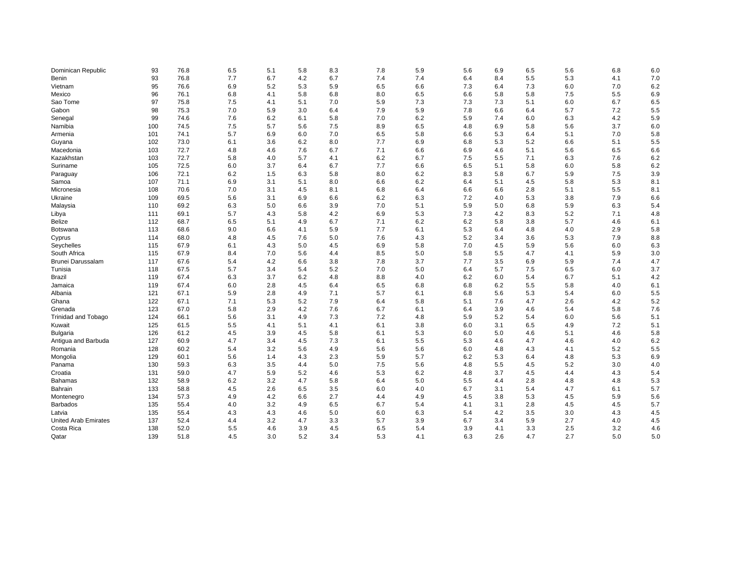| Dominican Republic          | 93  | 76.8 | 6.5 | 5.1 | 5.8 | 8.3 | 7.8 | 5.9 | 5.6 | 6.9 | 6.5 | 5.6 | 6.8 | 6.0 |
|-----------------------------|-----|------|-----|-----|-----|-----|-----|-----|-----|-----|-----|-----|-----|-----|
| Benin                       | 93  | 76.8 | 7.7 | 6.7 | 4.2 | 6.7 | 7.4 | 7.4 | 6.4 | 8.4 | 5.5 | 5.3 | 4.1 | 7.0 |
| Vietnam                     | 95  | 76.6 | 6.9 | 5.2 | 5.3 | 5.9 | 6.5 | 6.6 | 7.3 | 6.4 | 7.3 | 6.0 | 7.0 | 6.2 |
| Mexico                      | 96  | 76.1 | 6.8 | 4.1 | 5.8 | 6.8 | 8.0 | 6.5 | 6.6 | 5.8 | 5.8 | 7.5 | 5.5 | 6.9 |
| Sao Tome                    | 97  | 75.8 | 7.5 | 4.1 | 5.1 | 7.0 | 5.9 | 7.3 | 7.3 | 7.3 | 5.1 | 6.0 | 6.7 | 6.5 |
| Gabon                       | 98  | 75.3 | 7.0 | 5.9 | 3.0 | 6.4 | 7.9 | 5.9 | 7.8 | 6.6 | 6.4 | 5.7 | 7.2 | 5.5 |
| Senegal                     | 99  | 74.6 | 7.6 | 6.2 | 6.1 | 5.8 | 7.0 | 6.2 | 5.9 | 7.4 | 6.0 | 6.3 | 4.2 | 5.9 |
| Namibia                     | 100 | 74.5 | 7.5 | 5.7 | 5.6 | 7.5 | 8.9 | 6.5 | 4.8 | 6.9 | 5.8 | 5.6 | 3.7 | 6.0 |
| Armenia                     | 101 | 74.1 | 5.7 | 6.9 | 6.0 | 7.0 | 6.5 | 5.8 | 6.6 | 5.3 | 6.4 | 5.1 | 7.0 | 5.8 |
| Guyana                      | 102 | 73.0 | 6.1 | 3.6 | 6.2 | 8.0 | 7.7 | 6.9 | 6.8 | 5.3 | 5.2 | 6.6 | 5.1 | 5.5 |
| Macedonia                   | 103 | 72.7 | 4.8 | 4.6 | 7.6 | 6.7 | 7.1 | 6.6 | 6.9 | 4.6 | 5.1 | 5.6 | 6.5 | 6.6 |
| Kazakhstan                  | 103 | 72.7 | 5.8 | 4.0 | 5.7 | 4.1 | 6.2 | 6.7 | 7.5 | 5.5 | 7.1 | 6.3 | 7.6 | 6.2 |
| Suriname                    | 105 | 72.5 | 6.0 | 3.7 | 6.4 | 6.7 | 7.7 | 6.6 | 6.5 | 5.1 | 5.8 | 6.0 | 5.8 | 6.2 |
| Paraguay                    | 106 | 72.1 | 6.2 | 1.5 | 6.3 | 5.8 | 8.0 | 6.2 | 8.3 | 5.8 | 6.7 | 5.9 | 7.5 | 3.9 |
| Samoa                       | 107 | 71.1 | 6.9 | 3.1 | 5.1 | 8.0 | 6.6 | 6.2 | 6.4 | 5.1 | 4.5 | 5.8 | 5.3 | 8.1 |
| Micronesia                  | 108 | 70.6 | 7.0 | 3.1 | 4.5 | 8.1 | 6.8 | 6.4 | 6.6 | 6.6 | 2.8 | 5.1 | 5.5 | 8.1 |
| Ukraine                     | 109 | 69.5 | 5.6 | 3.1 | 6.9 | 6.6 | 6.2 | 6.3 | 7.2 | 4.0 | 5.3 | 3.8 | 7.9 | 6.6 |
| Malaysia                    | 110 | 69.2 | 6.3 | 5.0 | 6.6 | 3.9 | 7.0 | 5.1 | 5.9 | 5.0 | 6.8 | 5.9 | 6.3 | 5.4 |
| Libya                       | 111 | 69.1 | 5.7 | 4.3 | 5.8 | 4.2 | 6.9 | 5.3 | 7.3 | 4.2 | 8.3 | 5.2 | 7.1 | 4.8 |
| <b>Belize</b>               | 112 | 68.7 | 6.5 | 5.1 | 4.9 | 6.7 | 7.1 | 6.2 | 6.2 | 5.8 | 3.8 | 5.7 | 4.6 | 6.1 |
| Botswana                    | 113 | 68.6 | 9.0 | 6.6 | 4.1 | 5.9 | 7.7 | 6.1 | 5.3 | 6.4 | 4.8 | 4.0 | 2.9 | 5.8 |
| Cyprus                      | 114 | 68.0 | 4.8 | 4.5 | 7.6 | 5.0 | 7.6 | 4.3 | 5.2 | 3.4 | 3.6 | 5.3 | 7.9 | 8.8 |
| Seychelles                  | 115 | 67.9 | 6.1 | 4.3 | 5.0 | 4.5 | 6.9 | 5.8 | 7.0 | 4.5 | 5.9 | 5.6 | 6.0 | 6.3 |
| South Africa                | 115 | 67.9 | 8.4 | 7.0 | 5.6 | 4.4 | 8.5 | 5.0 | 5.8 | 5.5 | 4.7 | 4.1 | 5.9 | 3.0 |
| Brunei Darussalam           | 117 | 67.6 | 5.4 | 4.2 | 6.6 | 3.8 | 7.8 | 3.7 | 7.7 | 3.5 | 6.9 | 5.9 | 7.4 | 4.7 |
| Tunisia                     | 118 | 67.5 | 5.7 | 3.4 | 5.4 | 5.2 | 7.0 | 5.0 | 6.4 | 5.7 | 7.5 | 6.5 | 6.0 | 3.7 |
| Brazil                      | 119 | 67.4 | 6.3 | 3.7 | 6.2 | 4.8 | 8.8 | 4.0 | 6.2 | 6.0 | 5.4 | 6.7 | 5.1 | 4.2 |
| Jamaica                     | 119 | 67.4 | 6.0 | 2.8 | 4.5 | 6.4 | 6.5 | 6.8 | 6.8 | 6.2 | 5.5 | 5.8 | 4.0 | 6.1 |
| Albania                     | 121 | 67.1 | 5.9 | 2.8 | 4.9 | 7.1 | 5.7 | 6.1 | 6.8 | 5.6 | 5.3 | 5.4 | 6.0 | 5.5 |
| Ghana                       | 122 | 67.1 | 7.1 | 5.3 | 5.2 | 7.9 | 6.4 | 5.8 | 5.1 | 7.6 | 4.7 | 2.6 | 4.2 | 5.2 |
| Grenada                     | 123 | 67.0 | 5.8 | 2.9 | 4.2 | 7.6 | 6.7 | 6.1 | 6.4 | 3.9 | 4.6 | 5.4 | 5.8 | 7.6 |
| <b>Trinidad and Tobago</b>  | 124 | 66.1 | 5.6 | 3.1 | 4.9 | 7.3 | 7.2 | 4.8 | 5.9 | 5.2 | 5.4 | 6.0 | 5.6 | 5.1 |
| Kuwait                      | 125 | 61.5 | 5.5 | 4.1 | 5.1 | 4.1 | 6.1 | 3.8 | 6.0 | 3.1 | 6.5 | 4.9 | 7.2 | 5.1 |
| <b>Bulgaria</b>             | 126 | 61.2 | 4.5 | 3.9 | 4.5 | 5.8 | 6.1 | 5.3 | 6.0 | 5.0 | 4.6 | 5.1 | 4.6 | 5.8 |
| Antigua and Barbuda         | 127 | 60.9 | 4.7 | 3.4 | 4.5 | 7.3 | 6.1 | 5.5 | 5.3 | 4.6 | 4.7 | 4.6 | 4.0 | 6.2 |
| Romania                     | 128 | 60.2 | 5.4 | 3.2 | 5.6 | 4.9 | 5.6 | 5.6 | 6.0 | 4.8 | 4.3 | 4.1 | 5.2 | 5.5 |
| Mongolia                    | 129 | 60.1 | 5.6 | 1.4 | 4.3 | 2.3 | 5.9 | 5.7 | 6.2 | 5.3 | 6.4 | 4.8 | 5.3 | 6.9 |
| Panama                      | 130 | 59.3 | 6.3 | 3.5 | 4.4 | 5.0 | 7.5 | 5.6 | 4.8 | 5.5 | 4.5 | 5.2 | 3.0 | 4.0 |
| Croatia                     | 131 | 59.0 | 4.7 | 5.9 | 5.2 | 4.6 | 5.3 | 6.2 | 4.8 | 3.7 | 4.5 | 4.4 | 4.3 | 5.4 |
| <b>Bahamas</b>              | 132 | 58.9 | 6.2 | 3.2 | 4.7 | 5.8 | 6.4 | 5.0 | 5.5 | 4.4 | 2.8 | 4.8 | 4.8 | 5.3 |
| Bahrain                     | 133 | 58.8 | 4.5 | 2.6 | 6.5 | 3.5 | 6.0 | 4.0 | 6.7 | 3.1 | 5.4 | 4.7 | 6.1 | 5.7 |
| Montenegro                  | 134 | 57.3 | 4.9 | 4.2 | 6.6 | 2.7 | 4.4 | 4.9 | 4.5 | 3.8 | 5.3 | 4.5 | 5.9 | 5.6 |
| <b>Barbados</b>             | 135 | 55.4 | 4.0 | 3.2 | 4.9 | 6.5 | 6.7 | 5.4 | 4.1 | 3.1 | 2.8 | 4.5 | 4.5 | 5.7 |
| Latvia                      | 135 | 55.4 | 4.3 | 4.3 | 4.6 | 5.0 | 6.0 | 6.3 | 5.4 | 4.2 | 3.5 | 3.0 | 4.3 | 4.5 |
| <b>United Arab Emirates</b> | 137 | 52.4 | 4.4 | 3.2 | 4.7 | 3.3 | 5.7 | 3.9 | 6.7 | 3.4 | 5.9 | 2.7 | 4.0 | 4.5 |
| Costa Rica                  | 138 | 52.0 | 5.5 | 4.6 | 3.9 | 4.5 | 6.5 | 5.4 | 3.9 | 4.1 | 3.3 | 2.5 | 3.2 | 4.6 |
| Qatar                       | 139 | 51.8 | 4.5 | 3.0 | 5.2 | 3.4 | 5.3 | 4.1 | 6.3 | 2.6 | 4.7 | 2.7 | 5.0 | 5.0 |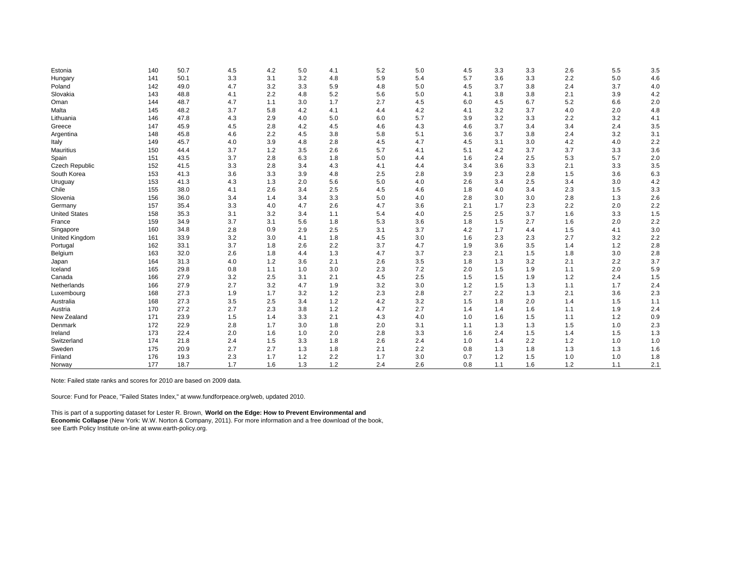| Estonia               | 140 | 50.7 | 4.5 | 4.2   | 5.0 | 4.1 | 5.2 | 5.0 | 4.5 | 3.3 | 3.3 | 2.6 | 5.5 | 3.5 |
|-----------------------|-----|------|-----|-------|-----|-----|-----|-----|-----|-----|-----|-----|-----|-----|
| Hungary               | 141 | 50.1 | 3.3 | 3.1   | 3.2 | 4.8 | 5.9 | 5.4 | 5.7 | 3.6 | 3.3 | 2.2 | 5.0 | 4.6 |
| Poland                | 142 | 49.0 | 4.7 | 3.2   | 3.3 | 5.9 | 4.8 | 5.0 | 4.5 | 3.7 | 3.8 | 2.4 | 3.7 | 4.0 |
| Slovakia              | 143 | 48.8 | 4.1 | 2.2   | 4.8 | 5.2 | 5.6 | 5.0 | 4.1 | 3.8 | 3.8 | 2.1 | 3.9 | 4.2 |
| Oman                  | 144 | 48.7 | 4.7 | 1.1   | 3.0 | 1.7 | 2.7 | 4.5 | 6.0 | 4.5 | 6.7 | 5.2 | 6.6 | 2.0 |
| Malta                 | 145 | 48.2 | 3.7 | 5.8   | 4.2 | 4.1 | 4.4 | 4.2 | 4.1 | 3.2 | 3.7 | 4.0 | 2.0 | 4.8 |
| Lithuania             | 146 | 47.8 | 4.3 | 2.9   | 4.0 | 5.0 | 6.0 | 5.7 | 3.9 | 3.2 | 3.3 | 2.2 | 3.2 | 4.1 |
| Greece                | 147 | 45.9 | 4.5 | 2.8   | 4.2 | 4.5 | 4.6 | 4.3 | 4.6 | 3.7 | 3.4 | 3.4 | 2.4 | 3.5 |
| Argentina             | 148 | 45.8 | 4.6 | 2.2   | 4.5 | 3.8 | 5.8 | 5.1 | 3.6 | 3.7 | 3.8 | 2.4 | 3.2 | 3.1 |
| Italy                 | 149 | 45.7 | 4.0 | 3.9   | 4.8 | 2.8 | 4.5 | 4.7 | 4.5 | 3.1 | 3.0 | 4.2 | 4.0 | 2.2 |
| <b>Mauritius</b>      | 150 | 44.4 | 3.7 | 1.2   | 3.5 | 2.6 | 5.7 | 4.1 | 5.1 | 4.2 | 3.7 | 3.7 | 3.3 | 3.6 |
| Spain                 | 151 | 43.5 | 3.7 | 2.8   | 6.3 | 1.8 | 5.0 | 4.4 | 1.6 | 2.4 | 2.5 | 5.3 | 5.7 | 2.0 |
| <b>Czech Republic</b> | 152 | 41.5 | 3.3 | 2.8   | 3.4 | 4.3 | 4.1 | 4.4 | 3.4 | 3.6 | 3.3 | 2.1 | 3.3 | 3.5 |
| South Korea           | 153 | 41.3 | 3.6 | 3.3   | 3.9 | 4.8 | 2.5 | 2.8 | 3.9 | 2.3 | 2.8 | 1.5 | 3.6 | 6.3 |
| Uruguay               | 153 | 41.3 | 4.3 | 1.3   | 2.0 | 5.6 | 5.0 | 4.0 | 2.6 | 3.4 | 2.5 | 3.4 | 3.0 | 4.2 |
| Chile                 | 155 | 38.0 | 4.1 | 2.6   | 3.4 | 2.5 | 4.5 | 4.6 | 1.8 | 4.0 | 3.4 | 2.3 | 1.5 | 3.3 |
| Slovenia              | 156 | 36.0 | 3.4 | 1.4   | 3.4 | 3.3 | 5.0 | 4.0 | 2.8 | 3.0 | 3.0 | 2.8 | 1.3 | 2.6 |
| Germany               | 157 | 35.4 | 3.3 | 4.0   | 4.7 | 2.6 | 4.7 | 3.6 | 2.1 | 1.7 | 2.3 | 2.2 | 2.0 | 2.2 |
| <b>United States</b>  | 158 | 35.3 | 3.1 | 3.2   | 3.4 | 1.1 | 5.4 | 4.0 | 2.5 | 2.5 | 3.7 | 1.6 | 3.3 | 1.5 |
| France                | 159 | 34.9 | 3.7 | 3.1   | 5.6 | 1.8 | 5.3 | 3.6 | 1.8 | 1.5 | 2.7 | 1.6 | 2.0 | 2.2 |
| Singapore             | 160 | 34.8 | 2.8 | 0.9   | 2.9 | 2.5 | 3.1 | 3.7 | 4.2 | 1.7 | 4.4 | 1.5 | 4.1 | 3.0 |
| United Kingdom        | 161 | 33.9 | 3.2 | 3.0   | 4.1 | 1.8 | 4.5 | 3.0 | 1.6 | 2.3 | 2.3 | 2.7 | 3.2 | 2.2 |
| Portugal              | 162 | 33.1 | 3.7 | 1.8   | 2.6 | 2.2 | 3.7 | 4.7 | 1.9 | 3.6 | 3.5 | 1.4 | 1.2 | 2.8 |
| Belgium               | 163 | 32.0 | 2.6 | 1.8   | 4.4 | 1.3 | 4.7 | 3.7 | 2.3 | 2.1 | 1.5 | 1.8 | 3.0 | 2.8 |
| Japan                 | 164 | 31.3 | 4.0 | $1.2$ | 3.6 | 2.1 | 2.6 | 3.5 | 1.8 | 1.3 | 3.2 | 2.1 | 2.2 | 3.7 |
| Iceland               | 165 | 29.8 | 0.8 | 1.1   | 1.0 | 3.0 | 2.3 | 7.2 | 2.0 | 1.5 | 1.9 | 1.1 | 2.0 | 5.9 |
| Canada                | 166 | 27.9 | 3.2 | 2.5   | 3.1 | 2.1 | 4.5 | 2.5 | 1.5 | 1.5 | 1.9 | 1.2 | 2.4 | 1.5 |
| Netherlands           | 166 | 27.9 | 2.7 | 3.2   | 4.7 | 1.9 | 3.2 | 3.0 | 1.2 | 1.5 | 1.3 | 1.1 | 1.7 | 2.4 |
| Luxembourg            | 168 | 27.3 | 1.9 | 1.7   | 3.2 | 1.2 | 2.3 | 2.8 | 2.7 | 2.2 | 1.3 | 2.1 | 3.6 | 2.3 |
| Australia             | 168 | 27.3 | 3.5 | 2.5   | 3.4 | 1.2 | 4.2 | 3.2 | 1.5 | 1.8 | 2.0 | 1.4 | 1.5 | 1.1 |
| Austria               | 170 | 27.2 | 2.7 | 2.3   | 3.8 | 1.2 | 4.7 | 2.7 | 1.4 | 1.4 | 1.6 | 1.1 | 1.9 | 2.4 |
| New Zealand           | 171 | 23.9 | 1.5 | 1.4   | 3.3 | 2.1 | 4.3 | 4.0 | 1.0 | 1.6 | 1.5 | 1.1 | 1.2 | 0.9 |
| Denmark               | 172 | 22.9 | 2.8 | 1.7   | 3.0 | 1.8 | 2.0 | 3.1 | 1.1 | 1.3 | 1.3 | 1.5 | 1.0 | 2.3 |
| Ireland               | 173 | 22.4 | 2.0 | 1.6   | 1.0 | 2.0 | 2.8 | 3.3 | 1.6 | 2.4 | 1.5 | 1.4 | 1.5 | 1.3 |
| Switzerland           | 174 | 21.8 | 2.4 | 1.5   | 3.3 | 1.8 | 2.6 | 2.4 | 1.0 | 1.4 | 2.2 | 1.2 | 1.0 | 1.0 |
| Sweden                | 175 | 20.9 | 2.7 | 2.7   | 1.3 | 1.8 | 2.1 | 2.2 | 0.8 | 1.3 | 1.8 | 1.3 | 1.3 | 1.6 |
| Finland               | 176 | 19.3 | 2.3 | 1.7   | 1.2 | 2.2 | 1.7 | 3.0 | 0.7 | 1.2 | 1.5 | 1.0 | 1.0 | 1.8 |
| Norway                | 177 | 18.7 | 1.7 | 1.6   | 1.3 | 1.2 | 2.4 | 2.6 | 0.8 | 1.1 | 1.6 | 1.2 | 1.1 | 2.1 |

Note: Failed state ranks and scores for 2010 are based on 2009 data.

Source: Fund for Peace, "Failed States Index," at www.fundforpeace.org/web, updated 2010.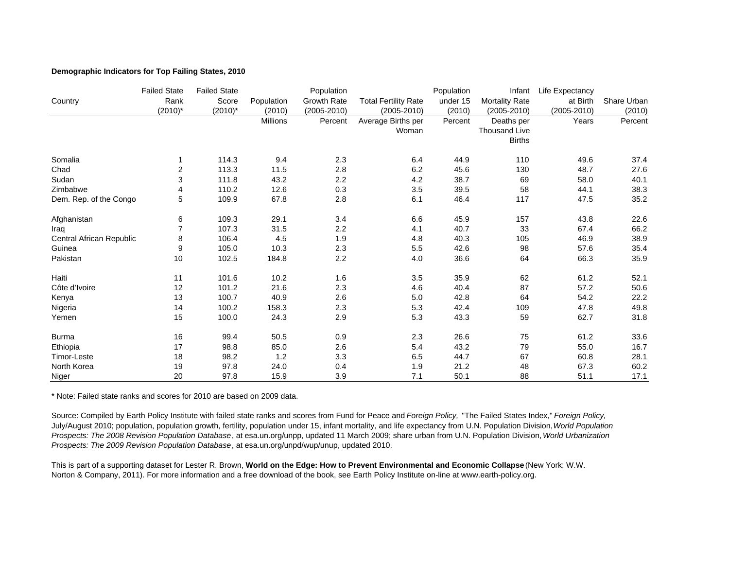# **Demographic Indicators for Top Failing States, 2010**

|                          | <b>Failed State</b> | <b>Failed State</b> |                 | Population       |                             | Population | Infant               | Life Expectancy |             |
|--------------------------|---------------------|---------------------|-----------------|------------------|-----------------------------|------------|----------------------|-----------------|-------------|
| Country                  | Rank                | Score               | Population      | Growth Rate      | <b>Total Fertility Rate</b> | under 15   | Mortality Rate       | at Birth        | Share Urban |
|                          | $(2010)^*$          | $(2010)^*$          | (2010)          | $(2005 - 2010)$  | (2005-2010)                 | (2010)     | $(2005 - 2010)$      | $(2005 - 2010)$ | (2010)      |
|                          |                     |                     | <b>Millions</b> | Percent          | Average Births per          | Percent    | Deaths per           | Years           | Percent     |
|                          |                     |                     |                 |                  | Woman                       |            | <b>Thousand Live</b> |                 |             |
|                          |                     |                     |                 |                  |                             |            | <b>Births</b>        |                 |             |
| Somalia                  | 1                   | 114.3               | 9.4             | 2.3              | 6.4                         | 44.9       | 110                  | 49.6            | 37.4        |
| Chad                     | 2                   | 113.3               | 11.5            | 2.8              | 6.2                         | 45.6       | 130                  | 48.7            | 27.6        |
| Sudan                    | 3                   | 111.8               | 43.2            | 2.2              | 4.2                         | 38.7       | 69                   | 58.0            | 40.1        |
| Zimbabwe                 | 4                   | 110.2               | 12.6            | 0.3              | 3.5                         | 39.5       | 58                   | 44.1            | 38.3        |
| Dem. Rep. of the Congo   | 5                   | 109.9               | 67.8            | 2.8              | 6.1                         | 46.4       | 117                  | 47.5            | 35.2        |
| Afghanistan              | 6                   | 109.3               | 29.1            | 3.4              | 6.6                         | 45.9       | 157                  | 43.8            | 22.6        |
| Iraq                     | 7                   | 107.3               | 31.5            | $2.2\phantom{0}$ | 4.1                         | 40.7       | 33                   | 67.4            | 66.2        |
| Central African Republic | 8                   | 106.4               | 4.5             | 1.9              | 4.8                         | 40.3       | 105                  | 46.9            | 38.9        |
| Guinea                   | 9                   | 105.0               | 10.3            | 2.3              | 5.5                         | 42.6       | 98                   | 57.6            | 35.4        |
| Pakistan                 | 10                  | 102.5               | 184.8           | 2.2              | 4.0                         | 36.6       | 64                   | 66.3            | 35.9        |
| Haiti                    | 11                  | 101.6               | 10.2            | 1.6              | 3.5                         | 35.9       | 62                   | 61.2            | 52.1        |
| Côte d'Ivoire            | 12                  | 101.2               | 21.6            | 2.3              | 4.6                         | 40.4       | 87                   | 57.2            | 50.6        |
| Kenya                    | 13                  | 100.7               | 40.9            | 2.6              | 5.0                         | 42.8       | 64                   | 54.2            | 22.2        |
| Nigeria                  | 14                  | 100.2               | 158.3           | 2.3              | 5.3                         | 42.4       | 109                  | 47.8            | 49.8        |
| Yemen                    | 15                  | 100.0               | 24.3            | 2.9              | 5.3                         | 43.3       | 59                   | 62.7            | 31.8        |
| <b>Burma</b>             | 16                  | 99.4                | 50.5            | 0.9              | 2.3                         | 26.6       | 75                   | 61.2            | 33.6        |
| Ethiopia                 | 17                  | 98.8                | 85.0            | 2.6              | 5.4                         | 43.2       | 79                   | 55.0            | 16.7        |
| Timor-Leste              | 18                  | 98.2                | 1.2             | 3.3              | 6.5                         | 44.7       | 67                   | 60.8            | 28.1        |
| North Korea              | 19                  | 97.8                | 24.0            | 0.4              | 1.9                         | 21.2       | 48                   | 67.3            | 60.2        |
| Niger                    | 20                  | 97.8                | 15.9            | 3.9              | 7.1                         | 50.1       | 88                   | 51.1            | 17.1        |

\* Note: Failed state ranks and scores for 2010 are based on 2009 data.

Source: Compiled by Earth Policy Institute with failed state ranks and scores from Fund for Peace and *Foreign Policy,* "The Failed States Index," *Foreign Policy,*  July/August 2010; population, population growth, fertility, population under 15, infant mortality, and life expectancy from U.N. Population Division, *World Population Prospects: The 2008 Revision Population Database*, at esa.un.org/unpp, updated 11 March 2009; share urban from U.N. Population Division, *World Urbanization Prospects: The 2009 Revision Population Database*, at esa.un.org/unpd/wup/unup, updated 2010.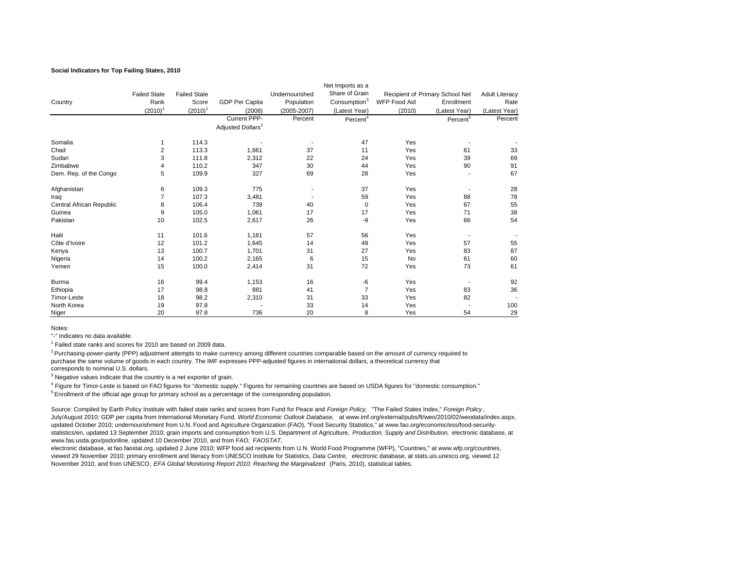#### **Social Indicators for Top Failing States, 2010**

|                          |                     |                     |                               |                 | Net Imports as a         |                     |                                 |                       |
|--------------------------|---------------------|---------------------|-------------------------------|-----------------|--------------------------|---------------------|---------------------------------|-----------------------|
|                          | <b>Failed State</b> | <b>Failed State</b> |                               | Undernourished  | Share of Grain           |                     | Recipient of Primary School Net | <b>Adult Literacy</b> |
| Country                  | Rank                | Score               | <b>GDP Per Capita</b>         | Population      | Consumption <sup>3</sup> | <b>WFP Food Aid</b> | Enrollment                      | Rate                  |
|                          | $(2010)^1$          | $(2010)^1$          | (2008)                        | $(2005 - 2007)$ | (Latest Year)            | (2010)              | (Latest Year)                   | (Latest Year)         |
|                          |                     |                     | Current PPP-                  | Percent         | Percent <sup>4</sup>     |                     | Percent <sup>5</sup>            | Percent               |
|                          |                     |                     | Adjusted Dollars <sup>2</sup> |                 |                          |                     |                                 |                       |
| Somalia                  |                     | 114.3               |                               |                 | 47                       | Yes                 |                                 |                       |
| Chad                     | 2                   | 113.3               | 1,661                         | 37              | 11                       | Yes                 | 61                              | 33                    |
| Sudan                    | 3                   | 111.8               | 2,312                         | 22              | 24                       | Yes                 | 39                              | 69                    |
| Zimbabwe                 | 4                   | 110.2               | 347                           | 30              | 44                       | Yes                 | 90                              | 91                    |
| Dem. Rep. of the Congo   | 5                   | 109.9               | 327                           | 69              | 28                       | Yes                 |                                 | 67                    |
| Afghanistan              | 6                   | 109.3               | 775                           |                 | 37                       | Yes                 |                                 | 28                    |
| Iraq                     | $\overline{7}$      | 107.3               | 3,481                         |                 | 59                       | Yes                 | 88                              | 78                    |
| Central African Republic | 8                   | 106.4               | 739                           | 40              | $\mathbf 0$              | Yes                 | 67                              | 55                    |
| Guinea                   | 9                   | 105.0               | 1,061                         | 17              | 17                       | Yes                 | 71                              | 38                    |
| Pakistan                 | 10                  | 102.5               | 2,617                         | 26              | -9                       | Yes                 | 66                              | 54                    |
| Haiti                    | 11                  | 101.6               | 1,181                         | 57              | 56                       | Yes                 |                                 |                       |
| Côte d'Ivoire            | 12                  | 101.2               | 1,645                         | 14              | 49                       | Yes                 | 57                              | 55                    |
| Kenya                    | 13                  | 100.7               | 1,701                         | 31              | 27                       | Yes                 | 83                              | 87                    |
| Nigeria                  | 14                  | 100.2               | 2,165                         | 6               | 15                       | <b>No</b>           | 61                              | 60                    |
| Yemen                    | 15                  | 100.0               | 2,414                         | 31              | 72                       | Yes                 | 73                              | 61                    |
| Burma                    | 16                  | 99.4                | 1,153                         | 16              | -6                       | Yes                 |                                 | 92                    |
| Ethiopia                 | 17                  | 98.8                | 881                           | 41              | $\overline{7}$           | Yes                 | 83                              | 36                    |
| Timor-Leste              | 18                  | 98.2                | 2,310                         | 31              | 33                       | Yes                 | 82                              |                       |
| North Korea              | 19                  | 97.8                |                               | 33              | 14                       | Yes                 |                                 | 100                   |
| Niger                    | 20                  | 97.8                | 736                           | 20              | 8                        | Yes                 | 54                              | 29                    |

Notes:

"-" indicates no data available.

1 Failed state ranks and scores for 2010 are based on 2009 data.

<sup>2</sup> Purchasing-power-parity (PPP) adjustment attempts to make currency among different countries comparable based on the amount of currency required to purchase the same volume of goods in each country. The IMF expresses PPP-adjusted figures in international dollars, a theoretical currency that corresponds to nominal U.S. dollars.

<sup>3</sup> Negative values indicate that the country is a net exporter of grain.

<sup>5</sup> Enrollment of the official age group for primary school as a percentage of the corresponding population. 4 Figure for Timor-Leste is based on FAO figures for "domestic supply." Figures for remaining countries are based on USDA figures for "domestic consumption."

Source: Compiled by Earth Policy Institute with failed state ranks and scores from Fund for Peace and *Foreign Policy,* "The Failed States Index," *Foreign Policy* , July/August 2010; GDP per capita from International Monetary Fund, *World Economic Outlook Database,* at www.imf.org/external/pubs/ft/weo/2010/02/weodata/index.aspx, updated October 2010; undernourishment from U.N. Food and Agriculture Organization (FAO), "Food Security Statistics," at www.fao.org/economic/ess/food-securitystatistics/en, updated 13 September 2010; grain imports and consumption from U.S. Department of Agriculture, *Production, Supply and Distribution,* electronic database, at www.fas.usda.gov/psdonline, updated 10 December 2010, and from FAO, *FAOSTAT,*

electronic database, at fao.faostat.org, updated 2 June 2010; WFP food aid recipients from U.N. World Food Programme (WFP), "Countries," at www.wfp.org/countries, viewed 29 November 2010; primary enrollment and literacy from UNESCO Institute for Statistics, *Data Centre,* electronic database, at stats.uis.unesco.org, viewed 12 November 2010, and from UNESCO, *EFA Global Monitoring Report 2010: Reaching the Marginalized* (Paris, 2010), statistical tables.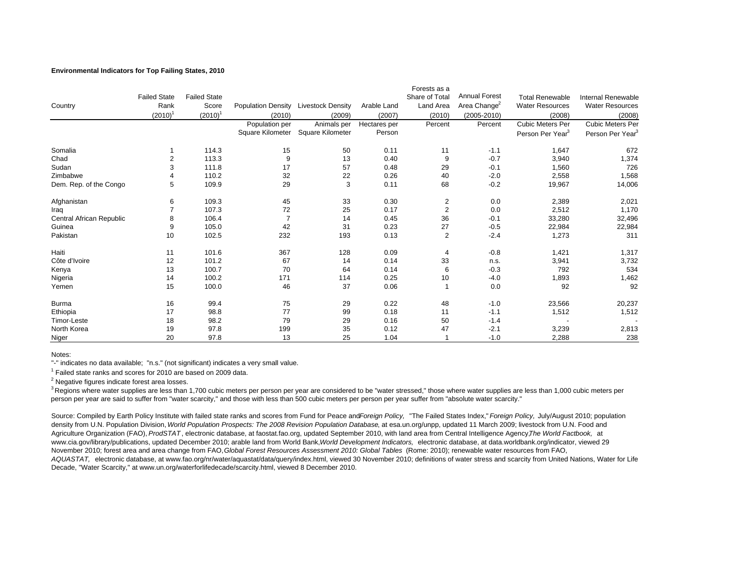## **Environmental Indicators for Top Failing States, 2010**

|                          |                     |                     |                           |                          |              | Forests as a            |                          |                              |                              |
|--------------------------|---------------------|---------------------|---------------------------|--------------------------|--------------|-------------------------|--------------------------|------------------------------|------------------------------|
|                          | <b>Failed State</b> | <b>Failed State</b> |                           |                          |              | Share of Total          | <b>Annual Forest</b>     | <b>Total Renewable</b>       | <b>Internal Renewable</b>    |
| Country                  | Rank                | Score               | <b>Population Density</b> | <b>Livestock Density</b> | Arable Land  | Land Area               | Area Change <sup>2</sup> | <b>Water Resources</b>       | <b>Water Resources</b>       |
|                          | $(2010)^{1}$        | $(2010)^{1}$        | (2010)                    | (2009)                   | (2007)       | (2010)                  | $(2005 - 2010)$          | (2008)                       | (2008)                       |
|                          |                     |                     | Population per            | Animals per              | Hectares per | Percent                 | Percent                  | <b>Cubic Meters Per</b>      | Cubic Meters Per             |
|                          |                     |                     | Square Kilometer          | Square Kilometer         | Person       |                         |                          | Person Per Year <sup>3</sup> | Person Per Year <sup>3</sup> |
| Somalia                  |                     | 114.3               | 15                        | 50                       | 0.11         | 11                      | $-1.1$                   | 1,647                        | 672                          |
| Chad                     |                     | 113.3               | 9                         | 13                       | 0.40         | 9                       | $-0.7$                   | 3,940                        | 1,374                        |
| Sudan                    | 3                   | 111.8               | 17                        | 57                       | 0.48         | 29                      | $-0.1$                   | 1,560                        | 726                          |
| Zimbabwe                 |                     | 110.2               | 32                        | 22                       | 0.26         | 40                      | $-2.0$                   | 2,558                        | 1,568                        |
| Dem. Rep. of the Congo   | 5                   | 109.9               | 29                        | 3                        | 0.11         | 68                      | $-0.2$                   | 19,967                       | 14,006                       |
| Afghanistan              | 6                   | 109.3               | 45                        | 33                       | 0.30         | $\overline{\mathbf{c}}$ | 0.0                      | 2,389                        | 2,021                        |
| Iraq                     |                     | 107.3               | 72                        | 25                       | 0.17         | $\overline{2}$          | 0.0                      | 2,512                        | 1,170                        |
| Central African Republic | 8                   | 106.4               | $\overline{7}$            | 14                       | 0.45         | 36                      | $-0.1$                   | 33,280                       | 32,496                       |
| Guinea                   | 9                   | 105.0               | 42                        | 31                       | 0.23         | 27                      | $-0.5$                   | 22,984                       | 22,984                       |
| Pakistan                 | 10                  | 102.5               | 232                       | 193                      | 0.13         | $\overline{2}$          | $-2.4$                   | 1,273                        | 311                          |
| Haiti                    | 11                  | 101.6               | 367                       | 128                      | 0.09         | 4                       | $-0.8$                   | 1,421                        | 1,317                        |
| Côte d'Ivoire            | 12                  | 101.2               | 67                        | 14                       | 0.14         | 33                      | n.s.                     | 3,941                        | 3,732                        |
| Kenya                    | 13                  | 100.7               | 70                        | 64                       | 0.14         | 6                       | $-0.3$                   | 792                          | 534                          |
| Nigeria                  | 14                  | 100.2               | 171                       | 114                      | 0.25         | 10                      | $-4.0$                   | 1,893                        | 1,462                        |
| Yemen                    | 15                  | 100.0               | 46                        | 37                       | 0.06         | 1                       | 0.0                      | 92                           | 92                           |
| Burma                    | 16                  | 99.4                | 75                        | 29                       | 0.22         | 48                      | $-1.0$                   | 23,566                       | 20,237                       |
| Ethiopia                 | 17                  | 98.8                | 77                        | 99                       | 0.18         | 11                      | $-1.1$                   | 1,512                        | 1,512                        |
| Timor-Leste              | 18                  | 98.2                | 79                        | 29                       | 0.16         | 50                      | $-1.4$                   |                              |                              |
| North Korea              | 19                  | 97.8                | 199                       | 35                       | 0.12         | 47                      | $-2.1$                   | 3,239                        | 2,813                        |
| Niger                    | 20                  | 97.8                | 13                        | 25                       | 1.04         |                         | $-1.0$                   | 2,288                        | 238                          |

Notes:

"-" indicates no data available; "n.s." (not significant) indicates a very small value.

 $1$  Failed state ranks and scores for 2010 are based on 2009 data.

2 Negative figures indicate forest area losses.

 $^3$  Regions where water supplies are less than 1,700 cubic meters per person per year are considered to be "water stressed," those where water supplies are less than 1,000 cubic meters per person per year are said to suffer from "water scarcity," and those with less than 500 cubic meters per person per year suffer from "absolute water scarcity."

Source: Compiled by Earth Policy Institute with failed state ranks and scores from Fund for Peace and Foreign Policy, "The Failed States Index," Foreign Policy, July/August 2010; population density from U.N. Population Division, *World Population Prospects: The 2008 Revision Population Database*, at esa.un.org/unpp, updated 11 March 2009; livestock from U.N. Food and Agriculture Organization (FAO), *ProdSTAT* , electronic database, at faostat.fao.org, updated September 2010, with land area from Central Intelligence Agency, *The World Factbook,* at www.cia.gov/library/publications, updated December 2010; arable land from World Bank, *World Development Indicators,* electronic database, at data.worldbank.org/indicator, viewed 29 November 2010; forest area and area change from FAO, *Global Forest Resources Assessment 2010: Global Tables* (Rome: 2010); renewable water resources from FAO, *AQUASTAT,* electronic database, at www.fao.org/nr/water/aquastat/data/query/index.html, viewed 30 November 2010; definitions of water stress and scarcity from United Nations, Water for Life Decade, "Water Scarcity," at www.un.org/waterforlifedecade/scarcity.html, viewed 8 December 2010.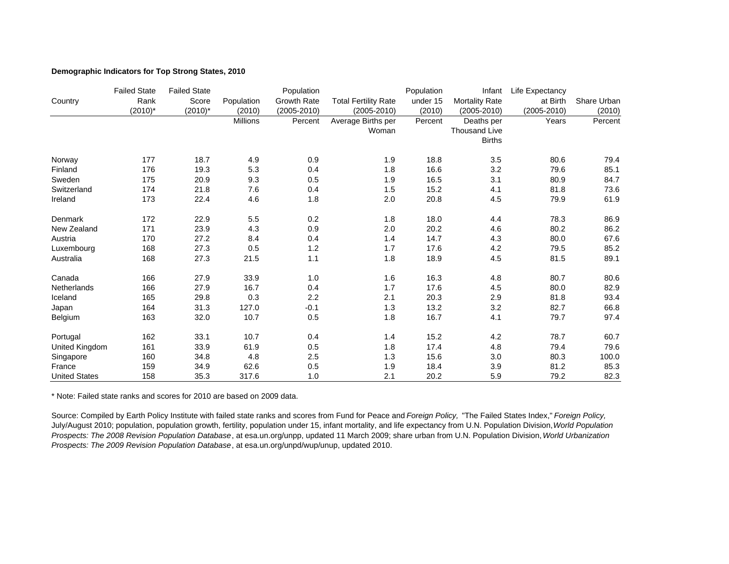## **Demographic Indicators for Top Strong States, 2010**

|                      | <b>Failed State</b> | <b>Failed State</b> |                 | Population         |                             | Population | Infant               | Life Expectancy |             |
|----------------------|---------------------|---------------------|-----------------|--------------------|-----------------------------|------------|----------------------|-----------------|-------------|
| Country              | Rank                | Score               | Population      | <b>Growth Rate</b> | <b>Total Fertility Rate</b> | under 15   | Mortality Rate       | at Birth        | Share Urban |
|                      | $(2010)^*$          | $(2010)^*$          | (2010)          | $(2005 - 2010)$    | $(2005 - 2010)$             | (2010)     | $(2005 - 2010)$      | $(2005 - 2010)$ | (2010)      |
|                      |                     |                     | <b>Millions</b> | Percent            | Average Births per          | Percent    | Deaths per           | Years           | Percent     |
|                      |                     |                     |                 |                    | Woman                       |            | <b>Thousand Live</b> |                 |             |
|                      |                     |                     |                 |                    |                             |            | <b>Births</b>        |                 |             |
| Norway               | 177                 | 18.7                | 4.9             | 0.9                | 1.9                         | 18.8       | 3.5                  | 80.6            | 79.4        |
| Finland              | 176                 | 19.3                | 5.3             | 0.4                | 1.8                         | 16.6       | 3.2                  | 79.6            | 85.1        |
| Sweden               | 175                 | 20.9                | 9.3             | 0.5                | 1.9                         | 16.5       | 3.1                  | 80.9            | 84.7        |
| Switzerland          | 174                 | 21.8                | 7.6             | 0.4                | 1.5                         | 15.2       | 4.1                  | 81.8            | 73.6        |
| Ireland              | 173                 | 22.4                | 4.6             | 1.8                | 2.0                         | 20.8       | 4.5                  | 79.9            | 61.9        |
| Denmark              | 172                 | 22.9                | 5.5             | 0.2                | 1.8                         | 18.0       | 4.4                  | 78.3            | 86.9        |
| New Zealand          | 171                 | 23.9                | 4.3             | 0.9                | 2.0                         | 20.2       | 4.6                  | 80.2            | 86.2        |
| Austria              | 170                 | 27.2                | 8.4             | 0.4                | 1.4                         | 14.7       | 4.3                  | 80.0            | 67.6        |
| Luxembourg           | 168                 | 27.3                | 0.5             | 1.2                | 1.7                         | 17.6       | 4.2                  | 79.5            | 85.2        |
| Australia            | 168                 | 27.3                | 21.5            | 1.1                | 1.8                         | 18.9       | 4.5                  | 81.5            | 89.1        |
| Canada               | 166                 | 27.9                | 33.9            | 1.0                | 1.6                         | 16.3       | 4.8                  | 80.7            | 80.6        |
| Netherlands          | 166                 | 27.9                | 16.7            | 0.4                | 1.7                         | 17.6       | 4.5                  | 80.0            | 82.9        |
| Iceland              | 165                 | 29.8                | 0.3             | 2.2                | 2.1                         | 20.3       | 2.9                  | 81.8            | 93.4        |
| Japan                | 164                 | 31.3                | 127.0           | $-0.1$             | 1.3                         | 13.2       | 3.2                  | 82.7            | 66.8        |
| Belgium              | 163                 | 32.0                | 10.7            | 0.5                | 1.8                         | 16.7       | 4.1                  | 79.7            | 97.4        |
| Portugal             | 162                 | 33.1                | 10.7            | 0.4                | 1.4                         | 15.2       | 4.2                  | 78.7            | 60.7        |
| United Kingdom       | 161                 | 33.9                | 61.9            | 0.5                | 1.8                         | 17.4       | 4.8                  | 79.4            | 79.6        |
| Singapore            | 160                 | 34.8                | 4.8             | 2.5                | 1.3                         | 15.6       | 3.0                  | 80.3            | 100.0       |
| France               | 159                 | 34.9                | 62.6            | 0.5                | 1.9                         | 18.4       | 3.9                  | 81.2            | 85.3        |
| <b>United States</b> | 158                 | 35.3                | 317.6           | 1.0                | 2.1                         | 20.2       | 5.9                  | 79.2            | 82.3        |

\* Note: Failed state ranks and scores for 2010 are based on 2009 data.

Source: Compiled by Earth Policy Institute with failed state ranks and scores from Fund for Peace and *Foreign Policy,* "The Failed States Index," *Foreign Policy,*  July/August 2010; population, population growth, fertility, population under 15, infant mortality, and life expectancy from U.N. Population Division, *World Population Prospects: The 2008 Revision Population Database*, at esa.un.org/unpp, updated 11 March 2009; share urban from U.N. Population Division, *World Urbanization Prospects: The 2009 Revision Population Database*, at esa.un.org/unpd/wup/unup, updated 2010.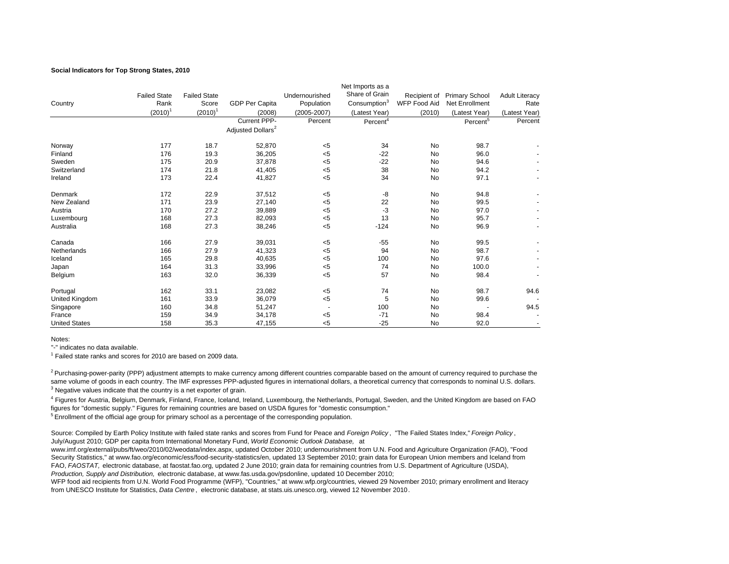#### **Social Indicators for Top Strong States, 2010**

|                      |                     |                     |                               |                          | Net Imports as a         |                     |                       |                       |
|----------------------|---------------------|---------------------|-------------------------------|--------------------------|--------------------------|---------------------|-----------------------|-----------------------|
|                      | <b>Failed State</b> | <b>Failed State</b> |                               | Undernourished           | Share of Grain           | Recipient of        | <b>Primary School</b> | <b>Adult Literacy</b> |
| Country              | Rank                | Score               | <b>GDP Per Capita</b>         | Population               | Consumption <sup>3</sup> | <b>WFP Food Aid</b> | Net Enrollment        | Rate                  |
|                      | $(2010)^{1}$        | $(2010)^1$          | (2008)                        | (2005-2007)              | (Latest Year)            | (2010)              | (Latest Year)         | (Latest Year)         |
|                      |                     |                     | Current PPP-                  | Percent                  | Percent <sup>4</sup>     |                     | Percent <sup>5</sup>  | Percent               |
|                      |                     |                     | Adjusted Dollars <sup>2</sup> |                          |                          |                     |                       |                       |
| Norway               | 177                 | 18.7                | 52,870                        | $<$ 5                    | 34                       | No                  | 98.7                  |                       |
| Finland              | 176                 | 19.3                | 36,205                        | $< 5$                    | $-22$                    | <b>No</b>           | 96.0                  |                       |
| Sweden               | 175                 | 20.9                | 37,878                        | $< 5$                    | $-22$                    | No                  | 94.6                  |                       |
| Switzerland          | 174                 | 21.8                | 41,405                        | $< 5\,$                  | 38                       | No                  | 94.2                  |                       |
| Ireland              | 173                 | 22.4                | 41,827                        | $< 5$                    | 34                       | No                  | 97.1                  |                       |
| Denmark              | 172                 | 22.9                | 37,512                        | $<$ 5                    | -8                       | No                  | 94.8                  |                       |
| New Zealand          | 171                 | 23.9                | 27,140                        | $< 5$                    | 22                       | No                  | 99.5                  |                       |
| Austria              | 170                 | 27.2                | 39,889                        | $<$ 5                    | $-3$                     | No                  | 97.0                  |                       |
| Luxembourg           | 168                 | 27.3                | 82,093                        | $<$ 5                    | 13                       | No                  | 95.7                  |                       |
| Australia            | 168                 | 27.3                | 38,246                        | $< 5$                    | $-124$                   | No                  | 96.9                  |                       |
| Canada               | 166                 | 27.9                | 39,031                        | $<$ 5                    | $-55$                    | No                  | 99.5                  |                       |
| Netherlands          | 166                 | 27.9                | 41,323                        | $< 5$                    | 94                       | No                  | 98.7                  |                       |
| Iceland              | 165                 | 29.8                | 40,635                        | $5$                      | 100                      | No                  | 97.6                  |                       |
| Japan                | 164                 | 31.3                | 33,996                        | $< 5\,$                  | 74                       | No                  | 100.0                 |                       |
| Belgium              | 163                 | 32.0                | 36,339                        | < 5                      | 57                       | No                  | 98.4                  |                       |
| Portugal             | 162                 | 33.1                | 23,082                        | $<$ 5                    | 74                       | No                  | 98.7                  | 94.6                  |
| United Kingdom       | 161                 | 33.9                | 36,079                        | $<$ 5                    | 5                        | No                  | 99.6                  |                       |
| Singapore            | 160                 | 34.8                | 51,247                        | $\overline{\phantom{a}}$ | 100                      | No                  |                       | 94.5                  |
| France               | 159                 | 34.9                | 34,178                        | $< 5$                    | $-71$                    | No                  | 98.4                  |                       |
| <b>United States</b> | 158                 | 35.3                | 47,155                        | < 5                      | $-25$                    | <b>No</b>           | 92.0                  |                       |

Notes:

"-" indicates no data available.

 $<sup>1</sup>$  Failed state ranks and scores for 2010 are based on 2009 data.</sup>

<sup>2</sup> Purchasing-power-parity (PPP) adjustment attempts to make currency among different countries comparable based on the amount of currency required to purchase the same volume of goods in each country. The IMF expresses PPP-adjusted figures in international dollars, a theoretical currency that corresponds to nominal U.S. dollars. <sup>3</sup> Negative values indicate that the country is a net exporter of grain.

<sup>4</sup> Figures for Austria, Belgium, Denmark, Finland, France, Iceland, Ireland, Luxembourg, the Netherlands, Portugal, Sweden, and the United Kingdom are based on FAO figures for "domestic supply." Figures for remaining countries are based on USDA figures for "domestic consumption."

 $<sup>5</sup>$  Enrollment of the official age group for primary school as a percentage of the corresponding population.</sup>

Source: Compiled by Earth Policy Institute with failed state ranks and scores from Fund for Peace and *Foreign Policy*, "The Failed States Index," *Foreign Policy*, July/August 2010; GDP per capita from International Monetary Fund, *World Economic Outlook Database,* at

www.imf.org/external/pubs/ft/weo/2010/02/weodata/index.aspx, updated October 2010; undernourishment from U.N. Food and Agriculture Organization (FAO), "Food Security Statistics," at www.fao.org/economic/ess/food-security-statistics/en, updated 13 September 2010; grain data for European Union members and Iceland from FAO, *FAOSTAT,* electronic database, at faostat.fao.org, updated 2 June 2010; grain data for remaining countries from U.S. Department of Agriculture (USDA), *Production, Supply and Distribution,* electronic database, at www.fas.usda.gov/psdonline, updated 10 December 2010;

WFP food aid recipients from U.N. World Food Programme (WFP), "Countries," at www.wfp.org/countries, viewed 29 November 2010; primary enrollment and literacy from UNESCO Institute for Statistics, *Data Centre* , electronic database, at stats.uis.unesco.org, viewed 12 November 2010.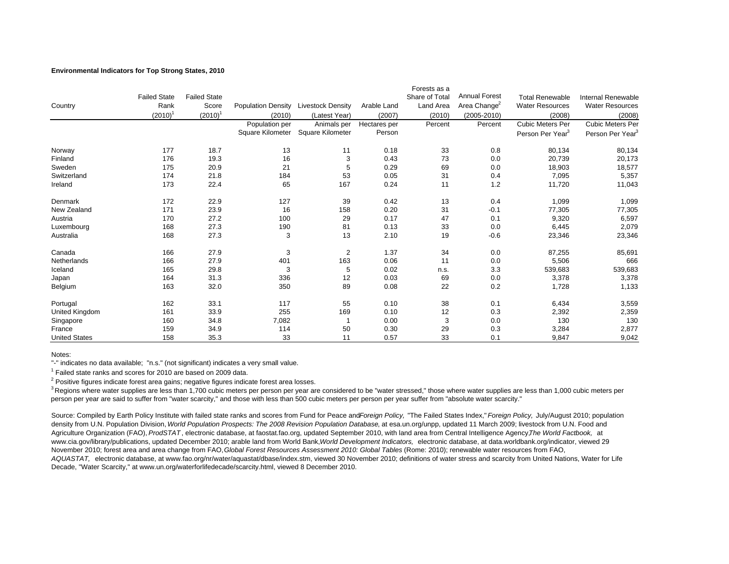## **Environmental Indicators for Top Strong States, 2010**

|                      |                     |                     |                           |                          |              | Forests as a   |                          |                              |                              |
|----------------------|---------------------|---------------------|---------------------------|--------------------------|--------------|----------------|--------------------------|------------------------------|------------------------------|
|                      | <b>Failed State</b> | <b>Failed State</b> |                           |                          |              | Share of Total | <b>Annual Forest</b>     | <b>Total Renewable</b>       | <b>Internal Renewable</b>    |
| Country              | Rank                | Score               | <b>Population Density</b> | <b>Livestock Density</b> | Arable Land  | Land Area      | Area Change <sup>2</sup> | <b>Water Resources</b>       | <b>Water Resources</b>       |
|                      | $(2010)^{1}$        | $(2010)^1$          | (2010)                    | (Latest Year)            | (2007)       | (2010)         | $(2005 - 2010)$          | (2008)                       | (2008)                       |
|                      |                     |                     | Population per            | Animals per              | Hectares per | Percent        | Percent                  | <b>Cubic Meters Per</b>      | <b>Cubic Meters Per</b>      |
|                      |                     |                     | Square Kilometer          | <b>Square Kilometer</b>  | Person       |                |                          | Person Per Year <sup>3</sup> | Person Per Year <sup>3</sup> |
| Norway               | 177                 | 18.7                | 13                        | 11                       | 0.18         | 33             | 0.8                      | 80,134                       | 80,134                       |
| Finland              | 176                 | 19.3                | 16                        | 3                        | 0.43         | 73             | 0.0                      | 20,739                       | 20,173                       |
| Sweden               | 175                 | 20.9                | 21                        | 5                        | 0.29         | 69             | 0.0                      | 18,903                       | 18,577                       |
| Switzerland          | 174                 | 21.8                | 184                       | 53                       | 0.05         | 31             | 0.4                      | 7,095                        | 5,357                        |
| Ireland              | 173                 | 22.4                | 65                        | 167                      | 0.24         | 11             | 1.2                      | 11,720                       | 11,043                       |
| Denmark              | 172                 | 22.9                | 127                       | 39                       | 0.42         | 13             | 0.4                      | 1,099                        | 1,099                        |
| New Zealand          | 171                 | 23.9                | 16                        | 158                      | 0.20         | 31             | $-0.1$                   | 77,305                       | 77,305                       |
| Austria              | 170                 | 27.2                | 100                       | 29                       | 0.17         | 47             | 0.1                      | 9,320                        | 6,597                        |
| Luxembourg           | 168                 | 27.3                | 190                       | 81                       | 0.13         | 33             | 0.0                      | 6,445                        | 2,079                        |
| Australia            | 168                 | 27.3                | 3                         | 13                       | 2.10         | 19             | $-0.6$                   | 23,346                       | 23,346                       |
| Canada               | 166                 | 27.9                | 3                         | 2                        | 1.37         | 34             | 0.0                      | 87,255                       | 85,691                       |
| Netherlands          | 166                 | 27.9                | 401                       | 163                      | 0.06         | 11             | 0.0                      | 5,506                        | 666                          |
| Iceland              | 165                 | 29.8                | 3                         | 5                        | 0.02         | n.s.           | 3.3                      | 539,683                      | 539,683                      |
| Japan                | 164                 | 31.3                | 336                       | 12                       | 0.03         | 69             | 0.0                      | 3,378                        | 3,378                        |
| Belgium              | 163                 | 32.0                | 350                       | 89                       | 0.08         | 22             | 0.2                      | 1,728                        | 1,133                        |
| Portugal             | 162                 | 33.1                | 117                       | 55                       | 0.10         | 38             | 0.1                      | 6,434                        | 3,559                        |
| United Kingdom       | 161                 | 33.9                | 255                       | 169                      | 0.10         | 12             | 0.3                      | 2,392                        | 2,359                        |
| Singapore            | 160                 | 34.8                | 7,082                     |                          | 0.00         | 3              | 0.0                      | 130                          | 130                          |
| France               | 159                 | 34.9                | 114                       | 50                       | 0.30         | 29             | 0.3                      | 3,284                        | 2,877                        |
| <b>United States</b> | 158                 | 35.3                | 33                        | 11                       | 0.57         | 33             | 0.1                      | 9,847                        | 9,042                        |

Notes:

"-" indicates no data available; "n.s." (not significant) indicates a very small value.

 $1$  Failed state ranks and scores for 2010 are based on 2009 data.

 $2$  Positive figures indicate forest area gains; negative figures indicate forest area losses.

 $^3$  Regions where water supplies are less than 1,700 cubic meters per person per year are considered to be "water stressed," those where water supplies are less than 1,000 cubic meters per person per year are said to suffer from "water scarcity," and those with less than 500 cubic meters per person per year suffer from "absolute water scarcity."

Source: Compiled by Earth Policy Institute with failed state ranks and scores from Fund for Peace and Foreign Policy, "The Failed States Index," Foreign Policy, July/August 2010; population density from U.N. Population Division, *World Population Prospects: The 2008 Revision Population Database*, at esa.un.org/unpp, updated 11 March 2009; livestock from U.N. Food and Agriculture Organization (FAO), *ProdSTAT* , electronic database, at faostat.fao.org, updated September 2010, with land area from Central Intelligence Agency, *The World Factbook,* at www.cia.gov/library/publications, updated December 2010; arable land from World Bank, *World Development Indicators,* electronic database, at data.worldbank.org/indicator, viewed 29 November 2010; forest area and area change from FAO, *Global Forest Resources Assessment 2010: Global Tables* (Rome: 2010); renewable water resources from FAO, *AQUASTAT,* electronic database, at www.fao.org/nr/water/aquastat/dbase/index.stm, viewed 30 November 2010; definitions of water stress and scarcity from United Nations, Water for Life Decade, "Water Scarcity," at www.un.org/waterforlifedecade/scarcity.html, viewed 8 December 2010.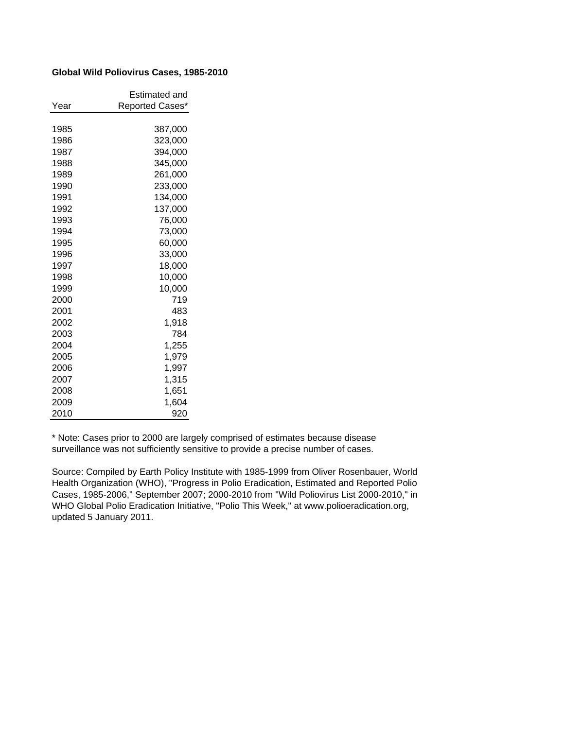# **Global Wild Poliovirus Cases, 1985-2010**

|      | Estimated and   |
|------|-----------------|
| Year | Reported Cases* |
|      |                 |
| 1985 | 387,000         |
| 1986 | 323,000         |
| 1987 | 394,000         |
| 1988 | 345,000         |
| 1989 | 261.000         |
| 1990 | 233,000         |
| 1991 | 134,000         |
| 1992 | 137,000         |
| 1993 | 76,000          |
| 1994 | 73,000          |
| 1995 | 60,000          |
| 1996 | 33,000          |
| 1997 | 18,000          |
| 1998 | 10,000          |
| 1999 | 10,000          |
| 2000 | 719             |
| 2001 | 483             |
| 2002 | 1,918           |
| 2003 | 784             |
| 2004 | 1,255           |
| 2005 | 1,979           |
| 2006 | 1,997           |
| 2007 | 1,315           |
| 2008 | 1,651           |
| 2009 | 1,604           |
| 2010 | 920             |

\* Note: Cases prior to 2000 are largely comprised of estimates because disease surveillance was not sufficiently sensitive to provide a precise number of cases.

Source: Compiled by Earth Policy Institute with 1985-1999 from Oliver Rosenbauer, World Health Organization (WHO), "Progress in Polio Eradication, Estimated and Reported Polio Cases, 1985-2006," September 2007; 2000-2010 from "Wild Poliovirus List 2000-2010," in WHO Global Polio Eradication Initiative, "Polio This Week," at www.polioeradication.org, updated 5 January 2011.